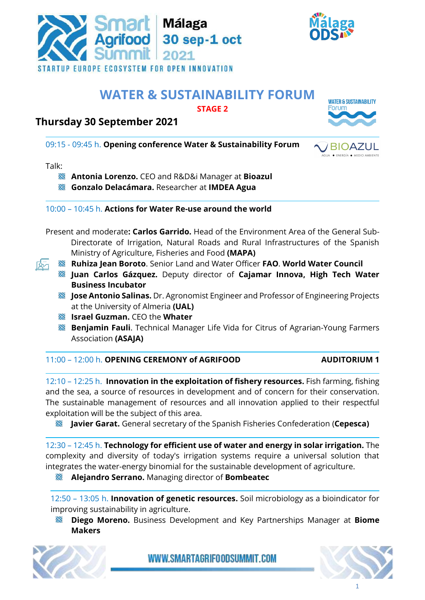



# **WATER & SUSTAINABILITY FORUM**

**STAGE 2**

# **Thursday 30 September 2021**



BIOA

09:15 - 09:45 h. **Opening conference Water & Sustainability Forum**

Talk:

- **Antonia Lorenzo.** CEO and R&D&i Manager at **Bioazul**
- **Gonzalo Delacámara.** Researcher at **IMDEA Agua**

10:00 – 10:45 h. **Actions for Water Re-use around the world**

- Present and moderate**: Carlos Garrido.** Head of the Environment Area of the General Sub-Directorate of Irrigation, Natural Roads and Rural Infrastructures of the Spanish Ministry of Agriculture, Fisheries and Food **(MAPA)**
- **Ruhiza Jean Boroto**. Senior Land and Water Officer **FAO**. **World Water Council** 
	- **Juan Carlos Gázquez.** Deputy director of **Cajamar Innova, High Tech Water Business Incubator**
	- **Jose Antonio Salinas.** Dr. Agronomist Engineer and Professor of Engineering Projects at the University of Almeria **(UAL)**
	- **Israel Guzman.** CEO the **Whater**
	- **Benjamin Fauli**. Technical Manager Life Vida for Citrus of Agrarian-Young Farmers Association **(ASAJA)**

11:00 – 12:00 h. **OPENING CEREMONY of AGRIFOOD AUDITORIUM 1**

12:10 – 12:25 h. **Innovation in the exploitation of fishery resources.** Fish farming, fishing and the sea, a source of resources in development and of concern for their conservation. The sustainable management of resources and all innovation applied to their respectful exploitation will be the subject of this area.

**Javier Garat.** General secretary of the Spanish Fisheries Confederation (**Cepesca)**

12:30 – 12:45 h. **Technology for efficient use of water and energy in solar irrigation.** The complexity and diversity of today's irrigation systems require a universal solution that integrates the water-energy binomial for the sustainable development of agriculture.

RG **Alejandro Serrano.** Managing director of **Bombeatec** 

12:50 – 13:05 h. **Innovation of genetic resources.** Soil microbiology as a bioindicator for improving sustainability in agriculture.

RA **Diego Moreno.** Business Development and Key Partnerships Manager at **Biome Makers**



WWW.SMARTAGRIFOODSUMMIT.COM

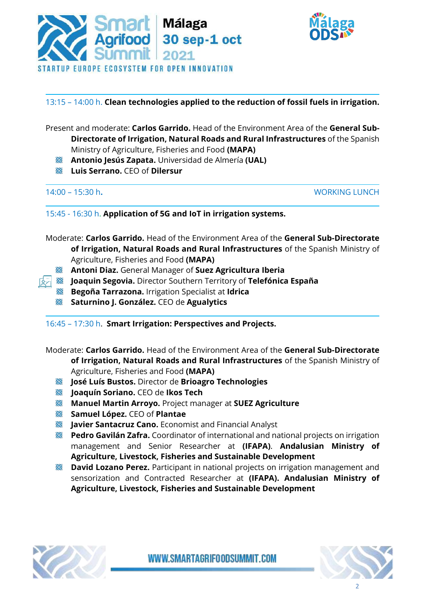



## 13:15 – 14:00 h. **Clean technologies applied to the reduction of fossil fuels in irrigation.**

- Present and moderate: **Carlos Garrido.** Head of the Environment Area of the **General Sub-Directorate of Irrigation, Natural Roads and Rural Infrastructures** of the Spanish Ministry of Agriculture, Fisheries and Food **(MAPA)**
	- **Antonio Jesús Zapata.** Universidad de Almería **(UAL)**
	- **Luis Serrano.** CEO of **Dilersur**

14:00 – 15:30 h**.** WORKING LUNCH

15:45 - 16:30 h. **Application of 5G and IoT in irrigation systems.**

Moderate: **Carlos Garrido.** Head of the Environment Area of the **General Sub-Directorate of Irrigation, Natural Roads and Rural Infrastructures** of the Spanish Ministry of Agriculture, Fisheries and Food **(MAPA)**

- **Antoni Diaz.** General Manager of **Suez Agricultura Iberia**
- **Joaquin Segovia.** Director Southern Territory of **Telefónica España**
	- **Begoña Tarrazona.** Irrigation Specialist at **Idrica**
	- **Saturnino J. González.** CEO de **Agualytics**

16:45 – 17:30 h. **Smart Irrigation: Perspectives and Projects.**

Moderate: **Carlos Garrido.** Head of the Environment Area of the **General Sub-Directorate of Irrigation, Natural Roads and Rural Infrastructures** of the Spanish Ministry of Agriculture, Fisheries and Food **(MAPA)**

- **José Luís Bustos.** Director de **Brioagro Technologies**
- **Joaquín Soriano.** CEO de **Ikos Tech**
- **Manuel Martin Arroyo.** Project manager at **SUEZ Agriculture**
- **Samuel López.** CEO of **Plantae**
- **Javier Santacruz Cano.** Economist and Financial Analyst RC
- *<b>Pedro Gavilán Zafra.* Coordinator of international and national projects on irrigation management and Senior Researcher at **(IFAPA)**. **Andalusian Ministry of Agriculture, Livestock, Fisheries and Sustainable Development**
- **David Lozano Perez.** Participant in national projects on irrigation management and sensorization and Contracted Researcher at **(IFAPA). Andalusian Ministry of Agriculture, Livestock, Fisheries and Sustainable Development**